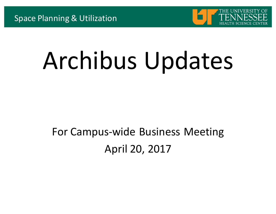

# Archibus Updates

#### For Campus-wide Business Meeting April 20, 2017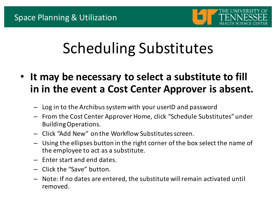

# Scheduling Substitutes

- **It may be necessary to select a substitute to fill** in in the event a Cost Center Approver is absent.
	- Log in to the Archibus system with your userID and password
	- $-$  From the Cost Center Approver Home, click "Schedule Substitutes" under Building Operations.
	- Click "Add New" on the Workflow Substitutes screen.
	- Using the ellipses button in the right corner of the box select the name of the employee to act as a substitute.
	- $-$  Enter start and end dates.
	- Click the "Save" button.
	- $-$  Note: If no dates are entered, the substitute will remain activated until removed.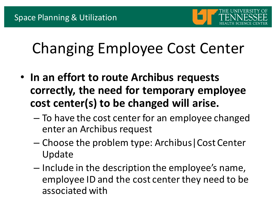

### Changing Employee Cost Center

- In an effort to route Archibus requests correctly, the need for temporary employee cost center(s) to be changed will arise.
	- $-$  To have the cost center for an employee changed enter an Archibus request
	- $-$  Choose the problem type: Archibus | Cost Center Update
	- $-$  Include in the description the employee's name, employee ID and the cost center they need to be associated with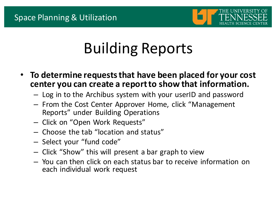

# Building Reports

- To determine requests that have been placed for your cost center you can create a report to show that information.
	- $-$  Log in to the Archibus system with your userID and password
	- $-$  From the Cost Center Approver Home, click "Management Reports" under Building Operations
	- Click on "Open Work Requests"
	- $-$  Choose the tab "location and status"
	- Select your "fund code"
	- $-$  Click "Show" this will present a bar graph to view
	- $-$  You can then click on each status bar to receive information on each individual work request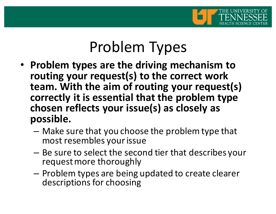

#### Problem Types

- Problem types are the driving mechanism to routing your request(s) to the correct work **team. With the aim of routing your request(s)** correctly it is essential that the problem type chosen reflects your issue(s) as closely as **possible.** 
	- $-$  Make sure that you choose the problem type that most resembles your issue
	- $-$  Be sure to select the second tier that describes your request more thoroughly
	- $-$  Problem types are being updated to create clearer descriptions for choosing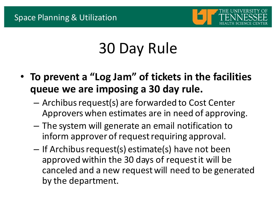

# 30 Day Rule

- To prevent a "Log Jam" of tickets in the facilities queue we are imposing a 30 day rule.
	- $-$  Archibus request(s) are forwarded to Cost Center Approvers when estimates are in need of approving.
	- $-$  The system will generate an email notification to inform approver of request requiring approval.
	- $-$  If Archibus request(s) estimate(s) have not been approved within the 30 days of request it will be canceled and a new request will need to be generated by the department.